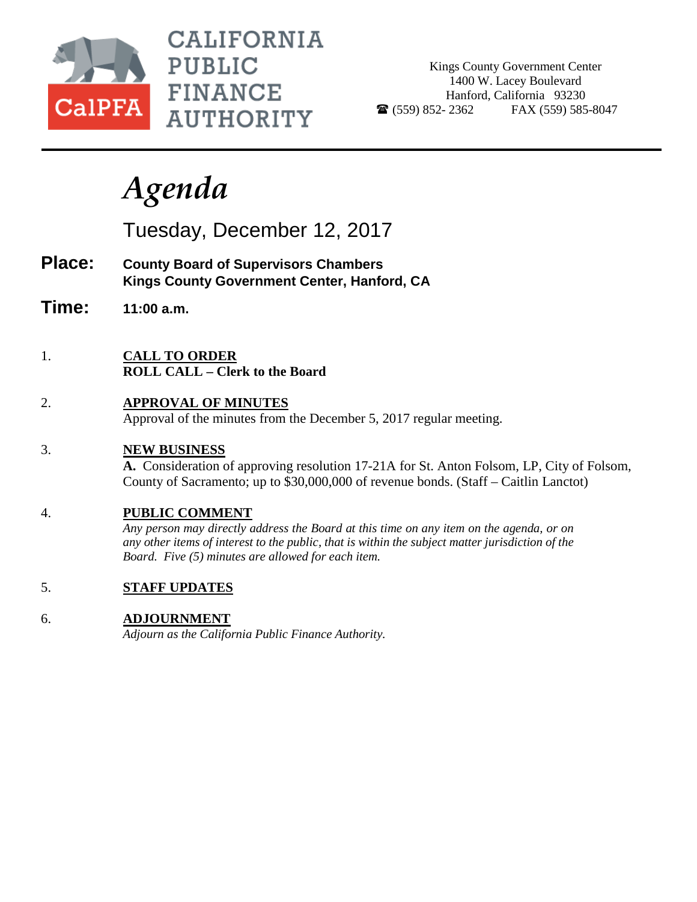

**CALIFORNIA PUBLIC FINANCE AUTHORITY** 

Kings County Government Center 1400 W. Lacey Boulevard Hanford, California 93230  $\bullet$  (559) 852-2362 FAX (559) 585-8047

# *Agenda*

Tuesday, December 12, 2017

- **Place: County Board of Supervisors Chambers Kings County Government Center, Hanford, CA**
- **Time: 11:00 a.m.**
- 1. **CALL TO ORDER ROLL CALL – Clerk to the Board**
- 2. **APPROVAL OF MINUTES** Approval of the minutes from the December 5, 2017 regular meeting.
- 3. **NEW BUSINESS**

**A.** Consideration of approving resolution 17-21A for St. Anton Folsom, LP, City of Folsom, County of Sacramento; up to \$30,000,000 of revenue bonds. (Staff – Caitlin Lanctot)

## 4. **PUBLIC COMMENT**

*Any person may directly address the Board at this time on any item on the agenda, or on any other items of interest to the public, that is within the subject matter jurisdiction of the Board. Five (5) minutes are allowed for each item.*

5. **STAFF UPDATES**

## 6. **ADJOURNMENT**

*Adjourn as the California Public Finance Authority.*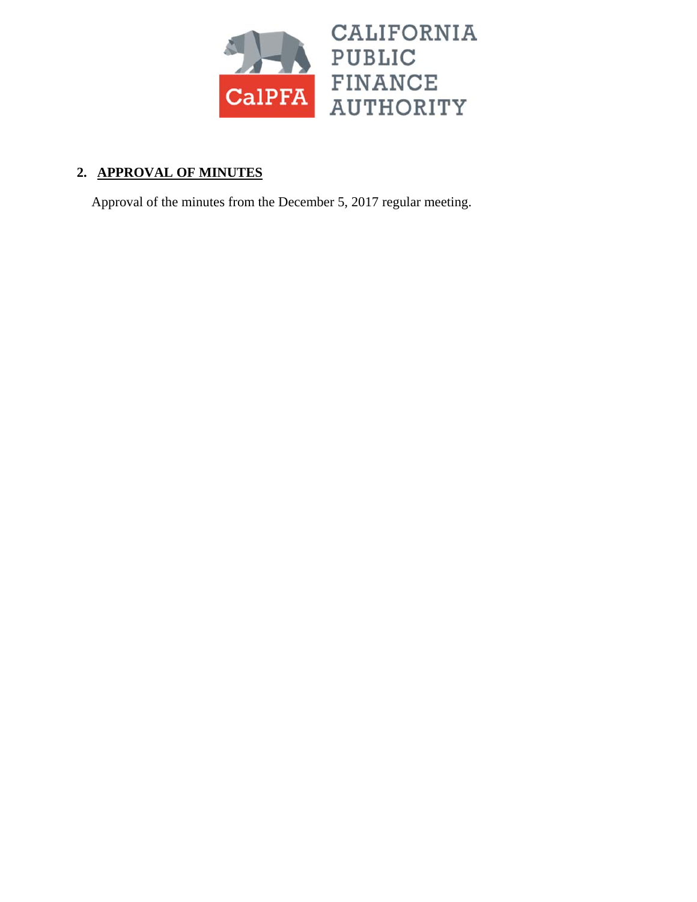

# **2. APPROVAL OF MINUTES**

Approval of the minutes from the December 5, 2017 regular meeting.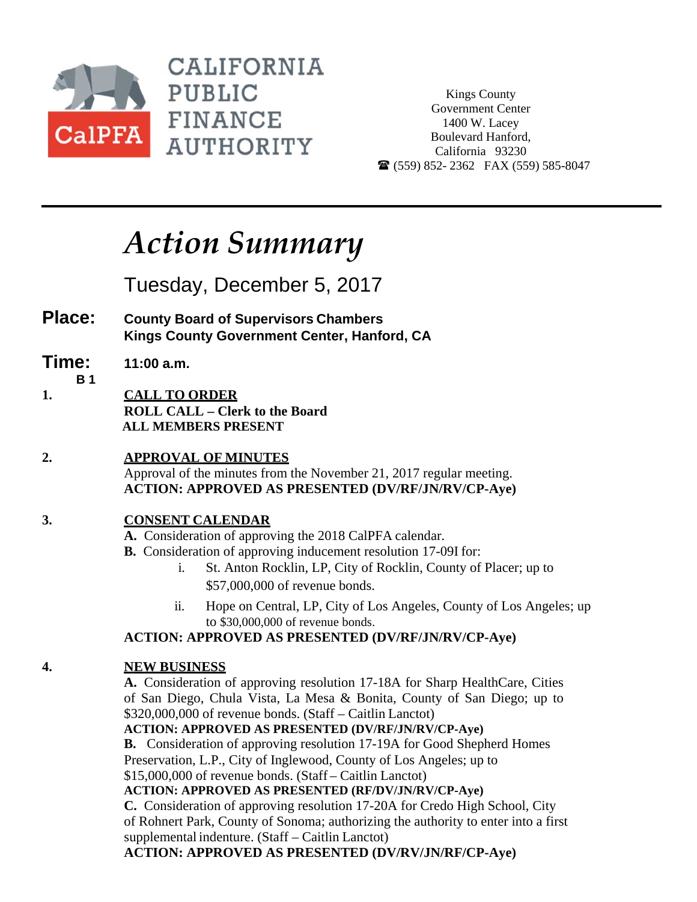

**CALIFORNIA PUBLIC FINANCE AUTHORITY** 

Kings County Government Center 1400 W. Lacey Boulevard Hanford, California 93230  $\mathbf{\widehat{m}}$  (559) 852-2362 FAX (559) 585-8047

# *Action Summary*

Tuesday, December 5, 2017

- **Place: County Board of Supervisors Chambers Kings County Government Center, Hanford, CA**
- **Time: 11:00 a.m.**
- 
- **B 1 1. CALL TO ORDER ROLL CALL – Clerk to the Board ALL MEMBERS PRESENT**
- **2. APPROVAL OF MINUTES**  Approval of the minutes from the November 21, 2017 regular meeting. **ACTION: APPROVED AS PRESENTED (DV/RF/JN/RV/CP-Aye)**

## **3. CONSENT CALENDAR**

- **A.** Consideration of approving the 2018 CalPFA calendar.
- **B.** Consideration of approving inducement resolution 17-09I for:
	- i. St. Anton Rocklin, LP, City of Rocklin, County of Placer; up to \$57,000,000 of revenue bonds.
	- ii. Hope on Central, LP, City of Los Angeles, County of Los Angeles; up to \$30,000,000 of revenue bonds.

## **ACTION: APPROVED AS PRESENTED (DV/RF/JN/RV/CP-Aye)**

## **4. NEW BUSINESS**

**A.** Consideration of approving resolution 17-18A for Sharp HealthCare, Cities of San Diego, Chula Vista, La Mesa & Bonita, County of San Diego; up to \$320,000,000 of revenue bonds. (Staff – Caitlin Lanctot)

**ACTION: APPROVED AS PRESENTED (DV/RF/JN/RV/CP-Aye)**

**B.** Consideration of approving resolution 17-19A for Good Shepherd Homes Preservation, L.P., City of Inglewood, County of Los Angeles; up to \$15,000,000 of revenue bonds. (Staff – Caitlin Lanctot)

**ACTION: APPROVED AS PRESENTED (RF/DV/JN/RV/CP-Aye)**

**C.** Consideration of approving resolution 17-20A for Credo High School, City of Rohnert Park, County of Sonoma; authorizing the authority to enter into a first supplemental indenture. (Staff – Caitlin Lanctot)

**ACTION: APPROVED AS PRESENTED (DV/RV/JN/RF/CP-Aye)**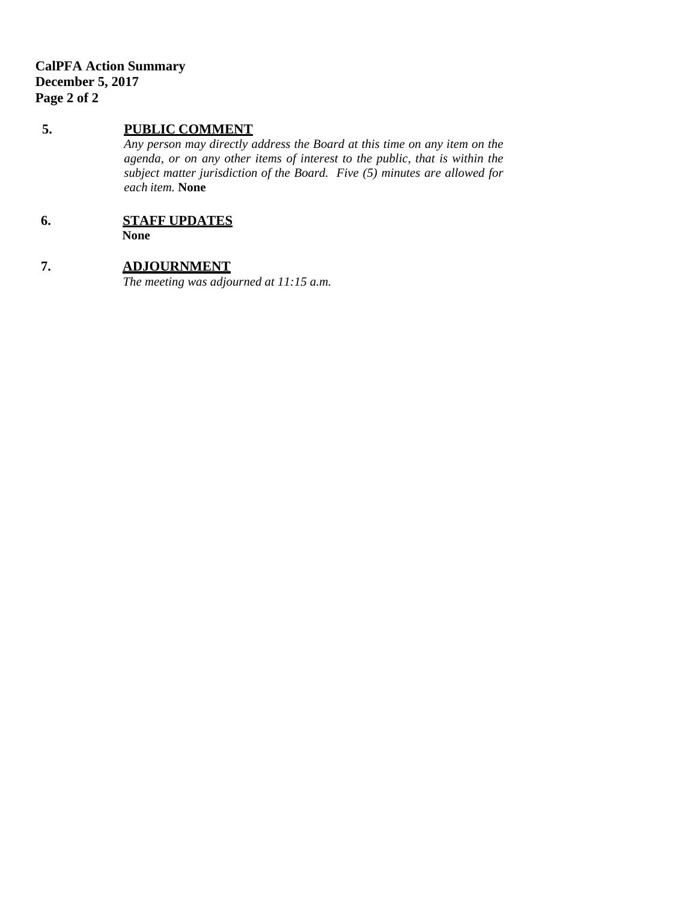## **5. PUBLIC COMMENT**

*Any person may directly address the Board at this time on any item on the agenda, or on any other items of interest to the public, that is within the subject matter jurisdiction of the Board. Five (5) minutes are allowed for each item.* **None** 

## **6. STAFF UPDATES**

**None** 

## **7. ADJOURNMENT**

*The meeting was adjourned at 11:15 a.m.*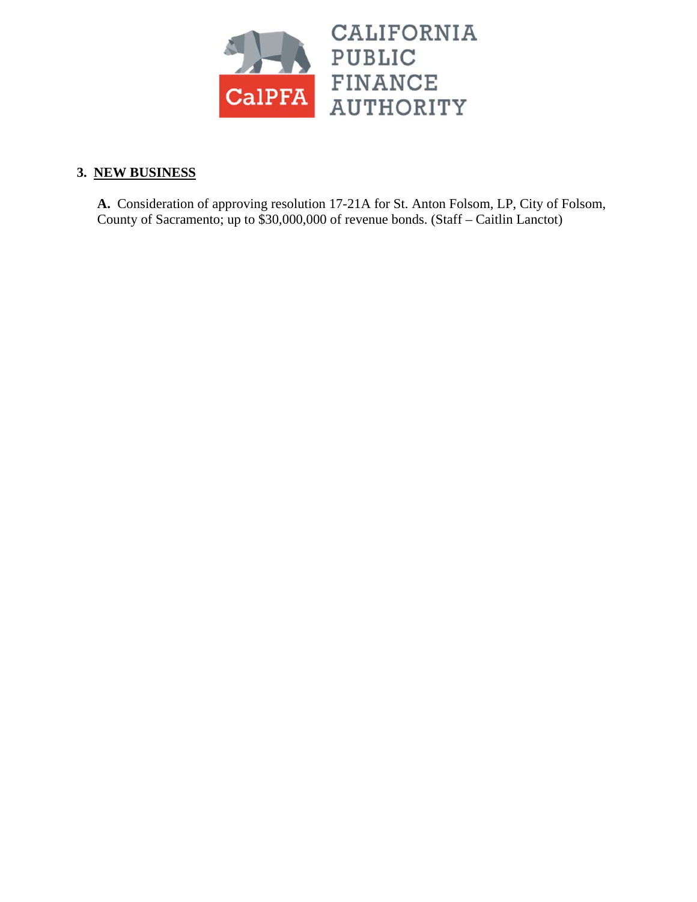

## **3. NEW BUSINESS**

**A.** Consideration of approving resolution 17-21A for St. Anton Folsom, LP, City of Folsom, County of Sacramento; up to \$30,000,000 of revenue bonds. (Staff – Caitlin Lanctot)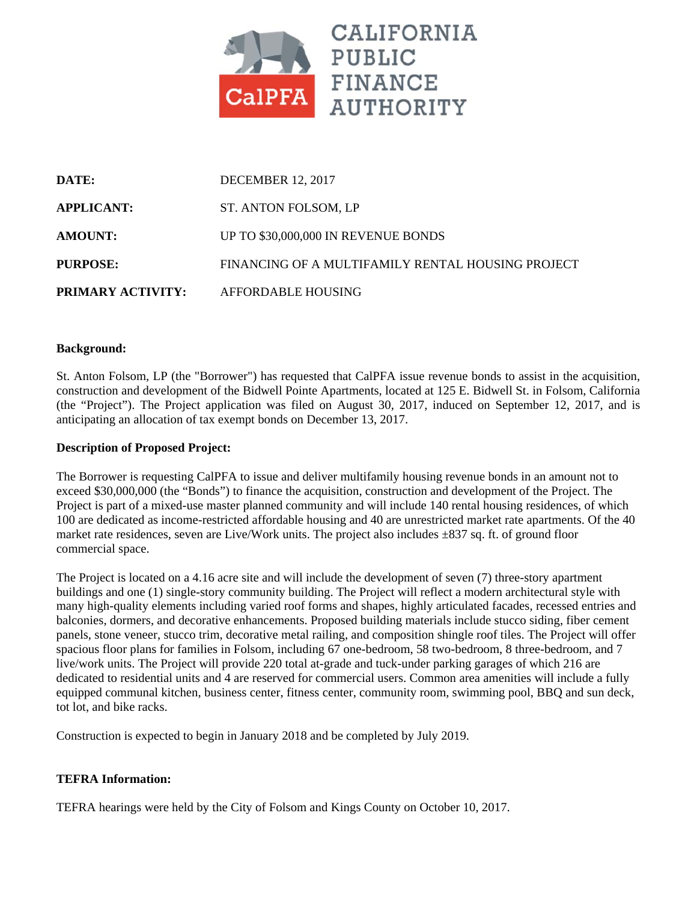

| DATE:                    | <b>DECEMBER 12, 2017</b>                          |
|--------------------------|---------------------------------------------------|
| <b>APPLICANT:</b>        | ST. ANTON FOLSOM, LP                              |
| <b>AMOUNT:</b>           | UP TO \$30,000,000 IN REVENUE BONDS               |
| <b>PURPOSE:</b>          | FINANCING OF A MULTIFAMILY RENTAL HOUSING PROJECT |
| <b>PRIMARY ACTIVITY:</b> | AFFORDABLE HOUSING                                |

#### **Background:**

St. Anton Folsom, LP (the "Borrower") has requested that CalPFA issue revenue bonds to assist in the acquisition, construction and development of the Bidwell Pointe Apartments, located at 125 E. Bidwell St. in Folsom, California (the "Project"). The Project application was filed on August 30, 2017, induced on September 12, 2017, and is anticipating an allocation of tax exempt bonds on December 13, 2017.

#### **Description of Proposed Project:**

The Borrower is requesting CalPFA to issue and deliver multifamily housing revenue bonds in an amount not to exceed \$30,000,000 (the "Bonds") to finance the acquisition, construction and development of the Project. The Project is part of a mixed-use master planned community and will include 140 rental housing residences, of which 100 are dedicated as income-restricted affordable housing and 40 are unrestricted market rate apartments. Of the 40 market rate residences, seven are Live/Work units. The project also includes  $\pm 837$  sq. ft. of ground floor commercial space.

The Project is located on a 4.16 acre site and will include the development of seven (7) three-story apartment buildings and one (1) single-story community building. The Project will reflect a modern architectural style with many high-quality elements including varied roof forms and shapes, highly articulated facades, recessed entries and balconies, dormers, and decorative enhancements. Proposed building materials include stucco siding, fiber cement panels, stone veneer, stucco trim, decorative metal railing, and composition shingle roof tiles. The Project will offer spacious floor plans for families in Folsom, including 67 one-bedroom, 58 two-bedroom, 8 three-bedroom, and 7 live/work units. The Project will provide 220 total at-grade and tuck-under parking garages of which 216 are dedicated to residential units and 4 are reserved for commercial users. Common area amenities will include a fully equipped communal kitchen, business center, fitness center, community room, swimming pool, BBQ and sun deck, tot lot, and bike racks.

Construction is expected to begin in January 2018 and be completed by July 2019.

#### **TEFRA Information:**

TEFRA hearings were held by the City of Folsom and Kings County on October 10, 2017.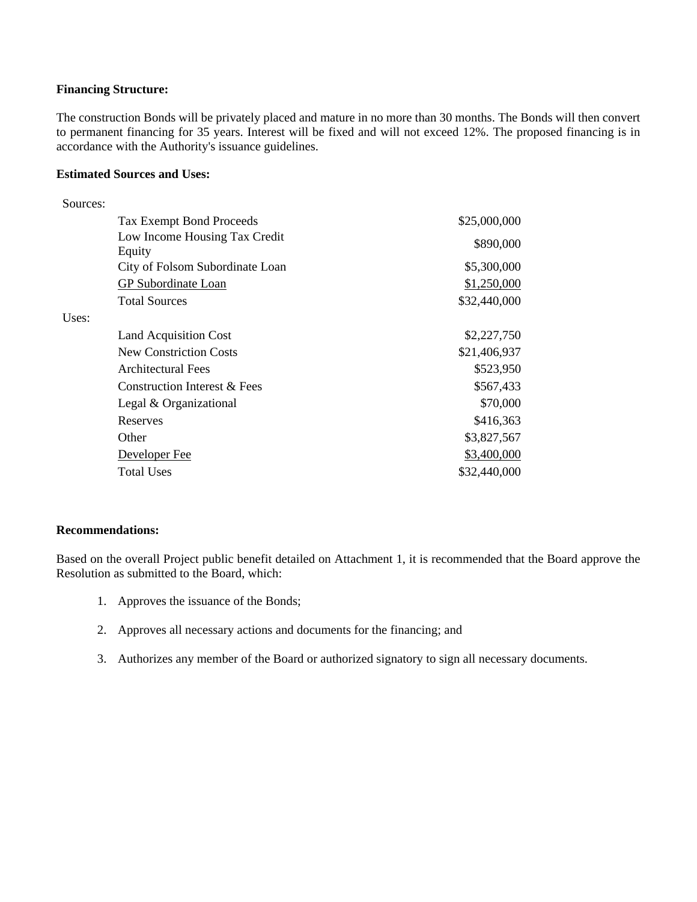#### **Financing Structure:**

The construction Bonds will be privately placed and mature in no more than 30 months. The Bonds will then convert to permanent financing for 35 years. Interest will be fixed and will not exceed 12%. The proposed financing is in accordance with the Authority's issuance guidelines.

#### **Estimated Sources and Uses:**

| Sources: |                                 |              |
|----------|---------------------------------|--------------|
|          | <b>Tax Exempt Bond Proceeds</b> | \$25,000,000 |
|          | Low Income Housing Tax Credit   | \$890,000    |
|          | Equity                          |              |
|          | City of Folsom Subordinate Loan | \$5,300,000  |
|          | GP Subordinate Loan             | \$1,250,000  |
|          | <b>Total Sources</b>            | \$32,440,000 |
| Uses:    |                                 |              |
|          | <b>Land Acquisition Cost</b>    | \$2,227,750  |
|          | <b>New Constriction Costs</b>   | \$21,406,937 |
|          | Architectural Fees              | \$523,950    |
|          | Construction Interest & Fees    | \$567,433    |
|          | Legal & Organizational          | \$70,000     |
|          | Reserves                        | \$416,363    |
|          | Other                           | \$3,827,567  |
|          | Developer Fee                   | \$3,400,000  |
|          | <b>Total Uses</b>               | \$32,440,000 |

#### **Recommendations:**

Based on the overall Project public benefit detailed on Attachment 1, it is recommended that the Board approve the Resolution as submitted to the Board, which:

- 1. Approves the issuance of the Bonds;
- 2. Approves all necessary actions and documents for the financing; and
- 3. Authorizes any member of the Board or authorized signatory to sign all necessary documents.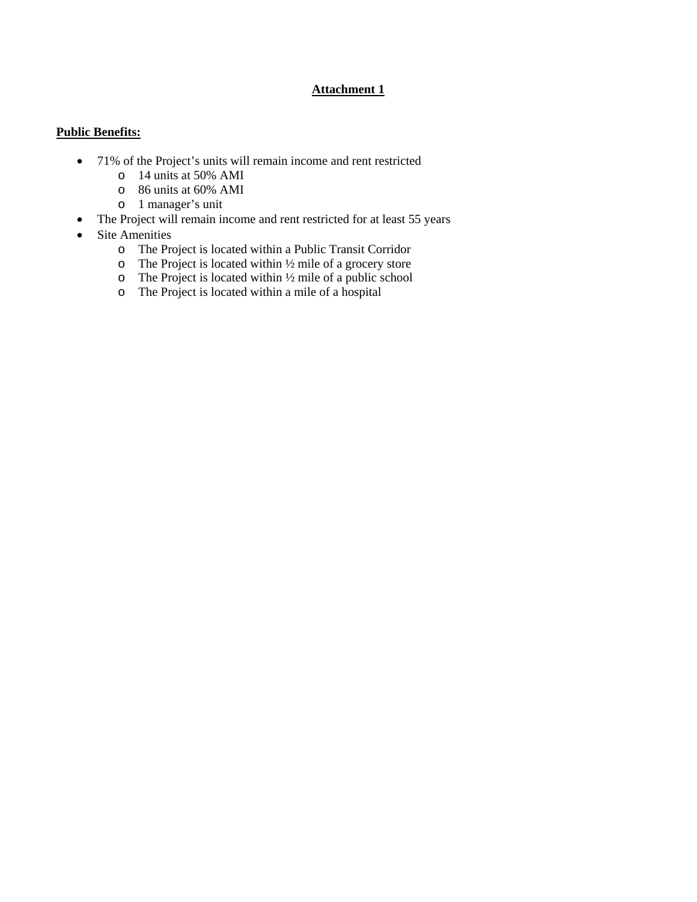### **Attachment 1**

## **Public Benefits:**

- 71% of the Project's units will remain income and rent restricted
	- o 14 units at 50% AMI
	- o 86 units at 60% AMI
	- o 1 manager's unit
- The Project will remain income and rent restricted for at least 55 years
- Site Amenities
	- o The Project is located within a Public Transit Corridor
	- $\circ$  The Project is located within  $\frac{1}{2}$  mile of a grocery store
	- $\circ$  The Project is located within  $\frac{1}{2}$  mile of a public school
	- o The Project is located within a mile of a hospital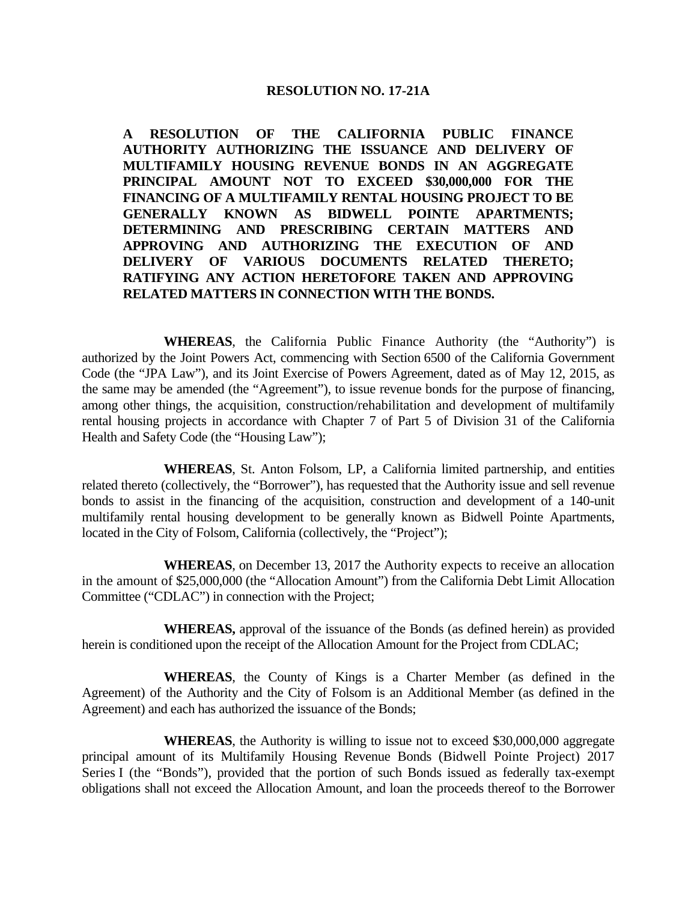### **RESOLUTION NO. 17-21A**

 **A RESOLUTION OF THE CALIFORNIA PUBLIC FINANCE AUTHORITY AUTHORIZING THE ISSUANCE AND DELIVERY OF MULTIFAMILY HOUSING REVENUE BONDS IN AN AGGREGATE PRINCIPAL AMOUNT NOT TO EXCEED \$30,000,000 FOR THE FINANCING OF A MULTIFAMILY RENTAL HOUSING PROJECT TO BE GENERALLY KNOWN AS BIDWELL POINTE APARTMENTS; DETERMINING AND PRESCRIBING CERTAIN MATTERS AND APPROVING AND AUTHORIZING THE EXECUTION OF AND DELIVERY OF VARIOUS DOCUMENTS RELATED THERETO; RATIFYING ANY ACTION HERETOFORE TAKEN AND APPROVING RELATED MATTERS IN CONNECTION WITH THE BONDS.** 

 **WHEREAS**, the California Public Finance Authority (the "Authority") is authorized by the Joint Powers Act, commencing with Section 6500 of the California Government Code (the "JPA Law"), and its Joint Exercise of Powers Agreement, dated as of May 12, 2015, as the same may be amended (the "Agreement"), to issue revenue bonds for the purpose of financing, among other things, the acquisition, construction/rehabilitation and development of multifamily rental housing projects in accordance with Chapter 7 of Part 5 of Division 31 of the California Health and Safety Code (the "Housing Law");

 **WHEREAS**, St. Anton Folsom, LP, a California limited partnership, and entities related thereto (collectively, the "Borrower"), has requested that the Authority issue and sell revenue bonds to assist in the financing of the acquisition, construction and development of a 140-unit multifamily rental housing development to be generally known as Bidwell Pointe Apartments, located in the City of Folsom, California (collectively, the "Project");

 **WHEREAS**, on December 13, 2017 the Authority expects to receive an allocation in the amount of \$25,000,000 (the "Allocation Amount") from the California Debt Limit Allocation Committee ("CDLAC") in connection with the Project;

 **WHEREAS,** approval of the issuance of the Bonds (as defined herein) as provided herein is conditioned upon the receipt of the Allocation Amount for the Project from CDLAC;

 **WHEREAS**, the County of Kings is a Charter Member (as defined in the Agreement) of the Authority and the City of Folsom is an Additional Member (as defined in the Agreement) and each has authorized the issuance of the Bonds;

 **WHEREAS**, the Authority is willing to issue not to exceed \$30,000,000 aggregate principal amount of its Multifamily Housing Revenue Bonds (Bidwell Pointe Project) 2017 Series I (the "Bonds"), provided that the portion of such Bonds issued as federally tax-exempt obligations shall not exceed the Allocation Amount, and loan the proceeds thereof to the Borrower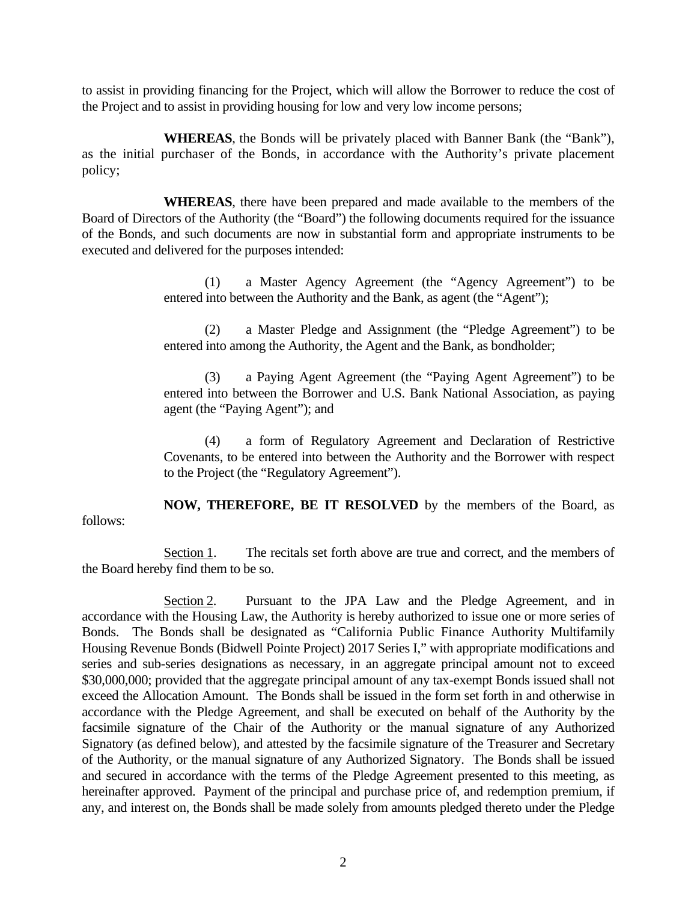to assist in providing financing for the Project, which will allow the Borrower to reduce the cost of the Project and to assist in providing housing for low and very low income persons;

 **WHEREAS**, the Bonds will be privately placed with Banner Bank (the "Bank"), as the initial purchaser of the Bonds, in accordance with the Authority's private placement policy;

 **WHEREAS**, there have been prepared and made available to the members of the Board of Directors of the Authority (the "Board") the following documents required for the issuance of the Bonds, and such documents are now in substantial form and appropriate instruments to be executed and delivered for the purposes intended:

> (1) a Master Agency Agreement (the "Agency Agreement") to be entered into between the Authority and the Bank, as agent (the "Agent");

> (2) a Master Pledge and Assignment (the "Pledge Agreement") to be entered into among the Authority, the Agent and the Bank, as bondholder;

> (3) a Paying Agent Agreement (the "Paying Agent Agreement") to be entered into between the Borrower and U.S. Bank National Association, as paying agent (the "Paying Agent"); and

> (4) a form of Regulatory Agreement and Declaration of Restrictive Covenants, to be entered into between the Authority and the Borrower with respect to the Project (the "Regulatory Agreement").

 **NOW, THEREFORE, BE IT RESOLVED** by the members of the Board, as follows:

 Section 1. The recitals set forth above are true and correct, and the members of the Board hereby find them to be so.

Section 2. Pursuant to the JPA Law and the Pledge Agreement, and in accordance with the Housing Law, the Authority is hereby authorized to issue one or more series of Bonds. The Bonds shall be designated as "California Public Finance Authority Multifamily Housing Revenue Bonds (Bidwell Pointe Project) 2017 Series I," with appropriate modifications and series and sub-series designations as necessary, in an aggregate principal amount not to exceed \$30,000,000; provided that the aggregate principal amount of any tax-exempt Bonds issued shall not exceed the Allocation Amount. The Bonds shall be issued in the form set forth in and otherwise in accordance with the Pledge Agreement, and shall be executed on behalf of the Authority by the facsimile signature of the Chair of the Authority or the manual signature of any Authorized Signatory (as defined below), and attested by the facsimile signature of the Treasurer and Secretary of the Authority, or the manual signature of any Authorized Signatory. The Bonds shall be issued and secured in accordance with the terms of the Pledge Agreement presented to this meeting, as hereinafter approved. Payment of the principal and purchase price of, and redemption premium, if any, and interest on, the Bonds shall be made solely from amounts pledged thereto under the Pledge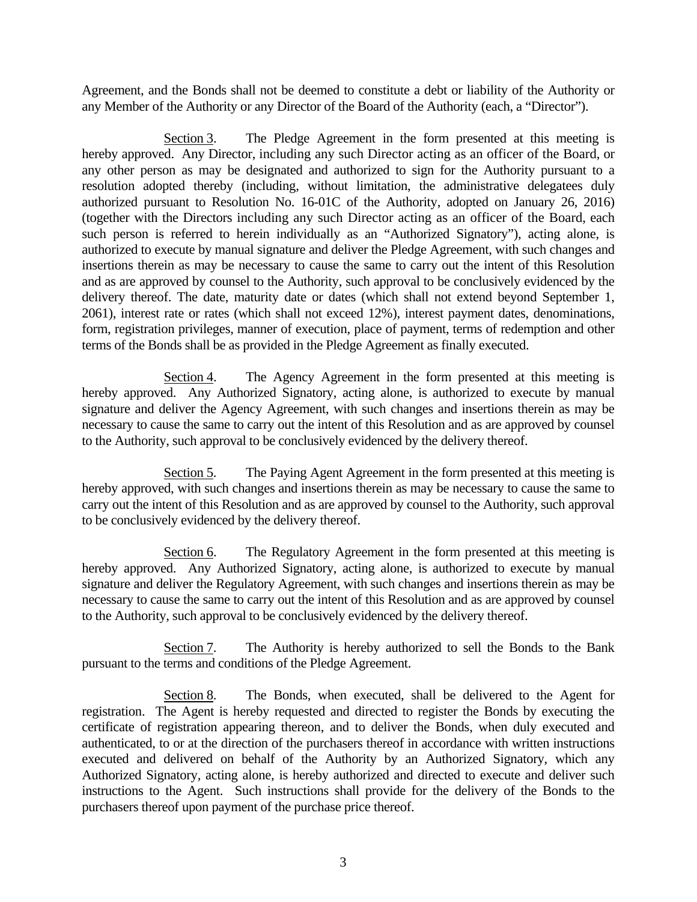Agreement, and the Bonds shall not be deemed to constitute a debt or liability of the Authority or any Member of the Authority or any Director of the Board of the Authority (each, a "Director").

 Section 3. The Pledge Agreement in the form presented at this meeting is hereby approved. Any Director, including any such Director acting as an officer of the Board, or any other person as may be designated and authorized to sign for the Authority pursuant to a resolution adopted thereby (including, without limitation, the administrative delegatees duly authorized pursuant to Resolution No. 16-01C of the Authority, adopted on January 26, 2016) (together with the Directors including any such Director acting as an officer of the Board, each such person is referred to herein individually as an "Authorized Signatory"), acting alone, is authorized to execute by manual signature and deliver the Pledge Agreement, with such changes and insertions therein as may be necessary to cause the same to carry out the intent of this Resolution and as are approved by counsel to the Authority, such approval to be conclusively evidenced by the delivery thereof. The date, maturity date or dates (which shall not extend beyond September 1, 2061), interest rate or rates (which shall not exceed 12%), interest payment dates, denominations, form, registration privileges, manner of execution, place of payment, terms of redemption and other terms of the Bonds shall be as provided in the Pledge Agreement as finally executed.

 Section 4. The Agency Agreement in the form presented at this meeting is hereby approved. Any Authorized Signatory, acting alone, is authorized to execute by manual signature and deliver the Agency Agreement, with such changes and insertions therein as may be necessary to cause the same to carry out the intent of this Resolution and as are approved by counsel to the Authority, such approval to be conclusively evidenced by the delivery thereof.

 Section 5. The Paying Agent Agreement in the form presented at this meeting is hereby approved, with such changes and insertions therein as may be necessary to cause the same to carry out the intent of this Resolution and as are approved by counsel to the Authority, such approval to be conclusively evidenced by the delivery thereof.

 Section 6. The Regulatory Agreement in the form presented at this meeting is hereby approved. Any Authorized Signatory, acting alone, is authorized to execute by manual signature and deliver the Regulatory Agreement, with such changes and insertions therein as may be necessary to cause the same to carry out the intent of this Resolution and as are approved by counsel to the Authority, such approval to be conclusively evidenced by the delivery thereof.

 Section 7. The Authority is hereby authorized to sell the Bonds to the Bank pursuant to the terms and conditions of the Pledge Agreement.

 Section 8. The Bonds, when executed, shall be delivered to the Agent for registration. The Agent is hereby requested and directed to register the Bonds by executing the certificate of registration appearing thereon, and to deliver the Bonds, when duly executed and authenticated, to or at the direction of the purchasers thereof in accordance with written instructions executed and delivered on behalf of the Authority by an Authorized Signatory, which any Authorized Signatory, acting alone, is hereby authorized and directed to execute and deliver such instructions to the Agent. Such instructions shall provide for the delivery of the Bonds to the purchasers thereof upon payment of the purchase price thereof.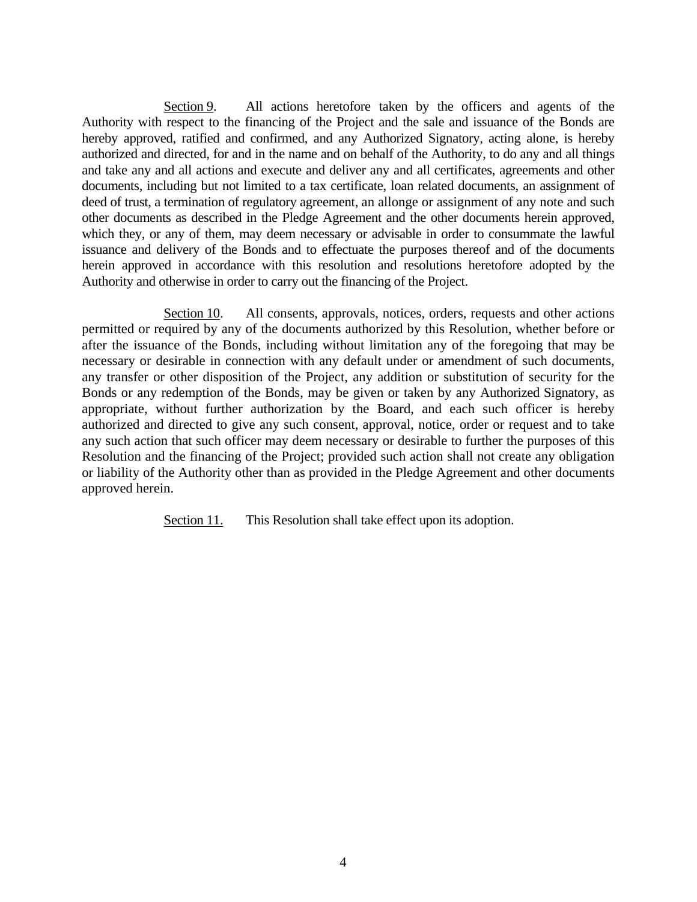Section 9. All actions heretofore taken by the officers and agents of the Authority with respect to the financing of the Project and the sale and issuance of the Bonds are hereby approved, ratified and confirmed, and any Authorized Signatory, acting alone, is hereby authorized and directed, for and in the name and on behalf of the Authority, to do any and all things and take any and all actions and execute and deliver any and all certificates, agreements and other documents, including but not limited to a tax certificate, loan related documents, an assignment of deed of trust, a termination of regulatory agreement, an allonge or assignment of any note and such other documents as described in the Pledge Agreement and the other documents herein approved, which they, or any of them, may deem necessary or advisable in order to consummate the lawful issuance and delivery of the Bonds and to effectuate the purposes thereof and of the documents herein approved in accordance with this resolution and resolutions heretofore adopted by the Authority and otherwise in order to carry out the financing of the Project.

Section 10. All consents, approvals, notices, orders, requests and other actions permitted or required by any of the documents authorized by this Resolution, whether before or after the issuance of the Bonds, including without limitation any of the foregoing that may be necessary or desirable in connection with any default under or amendment of such documents, any transfer or other disposition of the Project, any addition or substitution of security for the Bonds or any redemption of the Bonds, may be given or taken by any Authorized Signatory, as appropriate, without further authorization by the Board, and each such officer is hereby authorized and directed to give any such consent, approval, notice, order or request and to take any such action that such officer may deem necessary or desirable to further the purposes of this Resolution and the financing of the Project; provided such action shall not create any obligation or liability of the Authority other than as provided in the Pledge Agreement and other documents approved herein.

Section 11. This Resolution shall take effect upon its adoption.